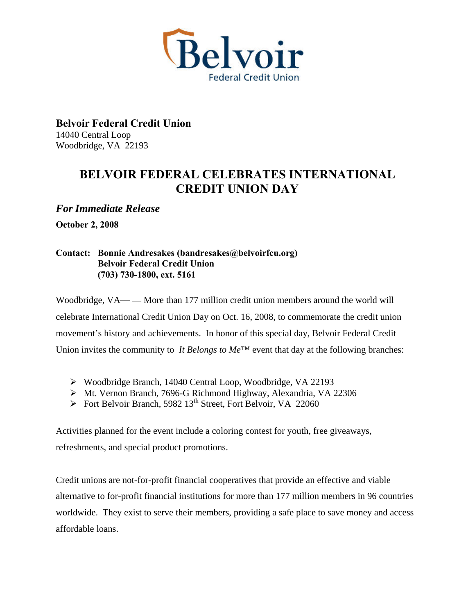

**Belvoir Federal Credit Union**  14040 Central Loop Woodbridge, VA 22193

## **BELVOIR FEDERAL CELEBRATES INTERNATIONAL CREDIT UNION DAY**

*For Immediate Release* 

**October 2, 2008** 

## **Contact: Bonnie Andresakes (bandresakes@belvoirfcu.org) Belvoir Federal Credit Union (703) 730-1800, ext. 5161**

Woodbridge,  $VA$ — — More than 177 million credit union members around the world will celebrate International Credit Union Day on Oct. 16, 2008, to commemorate the credit union movement's history and achievements. In honor of this special day, Belvoir Federal Credit Union invites the community to *It Belongs to Me*<sup>™</sup> event that day at the following branches:

- Woodbridge Branch, 14040 Central Loop, Woodbridge, VA 22193
- Mt. Vernon Branch, 7696-G Richmond Highway, Alexandria, VA 22306
- $\triangleright$  Fort Belvoir Branch, 5982 13<sup>th</sup> Street, Fort Belvoir, VA 22060

Activities planned for the event include a coloring contest for youth, free giveaways, refreshments, and special product promotions.

Credit unions are not-for-profit financial cooperatives that provide an effective and viable alternative to for-profit financial institutions for more than 177 million members in 96 countries worldwide. They exist to serve their members, providing a safe place to save money and access affordable loans.